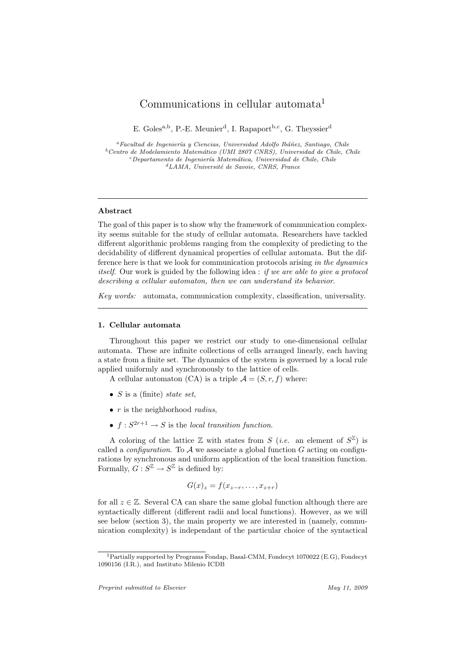# Communications in cellular automata<sup>1</sup>

E. Goles<sup>a,b</sup>, P.-E. Meunier<sup>d</sup>, I. Rapaport<sup>b,c</sup>, G. Theyssier<sup>d</sup>

<sup>a</sup>Facultad de Ingeniería y Ciencias, Universidad Adolfo Ibáñez, Santiago, Chile  $b$ Centro de Modelamiento Matemático (UMI 2807 CNRS), Universidad de Chile, Chile  $c$ Departamento de Ingeniería Matemática, Universidad de Chile, Chile  ${}^dLAMA$ , Université de Savoie, CNRS, France

## Abstract

The goal of this paper is to show why the framework of communication complexity seems suitable for the study of cellular automata. Researchers have tackled different algorithmic problems ranging from the complexity of predicting to the decidability of different dynamical properties of cellular automata. But the difference here is that we look for communication protocols arising in the dynamics itself. Our work is guided by the following idea : if we are able to give a protocol describing a cellular automaton, then we can understand its behavior.

Key words: automata, communication complexity, classification, universality.

#### 1. Cellular automata

Throughout this paper we restrict our study to one-dimensional cellular automata. These are infinite collections of cells arranged linearly, each having a state from a finite set. The dynamics of the system is governed by a local rule applied uniformly and synchronously to the lattice of cells.

A cellular automaton (CA) is a triple  $\mathcal{A} = (S, r, f)$  where:

- $S$  is a (finite) state set,
- $r$  is the neighborhood *radius*.
- $f: S^{2r+1} \to S$  is the local transition function.

A coloring of the lattice  $\mathbb Z$  with states from  $S$  (*i.e.* an element of  $S^{\mathbb Z}$ ) is called a *configuration*. To  $A$  we associate a global function  $G$  acting on configurations by synchronous and uniform application of the local transition function. Formally,  $G: S^{\mathbb{Z}} \to S^{\mathbb{Z}}$  is defined by:

$$
G(x)_z = f(x_{z-r}, \ldots, x_{z+r})
$$

for all  $z \in \mathbb{Z}$ . Several CA can share the same global function although there are syntactically different (different radii and local functions). However, as we will see below (section 3), the main property we are interested in (namely, communication complexity) is independant of the particular choice of the syntactical

<sup>1</sup>Partially supported by Programs Fondap, Basal-CMM, Fondecyt 1070022 (E.G), Fondecyt 1090156 (I.R.), and Instituto Milenio ICDB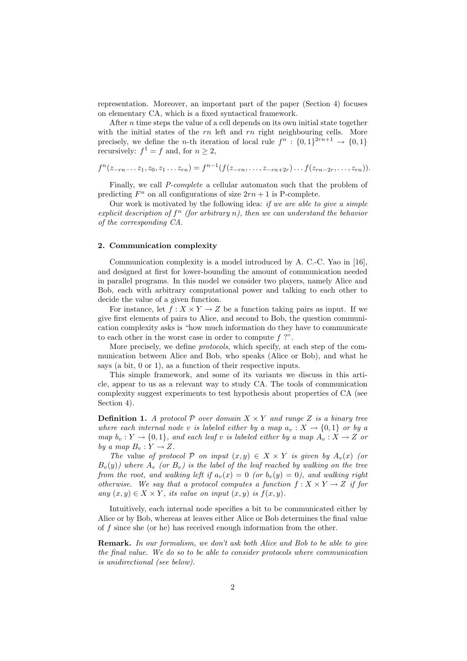representation. Moreover, an important part of the paper (Section 4) focuses on elementary CA, which is a fixed syntactical framework.

After  $n$  time steps the value of a cell depends on its own initial state together with the initial states of the  $rn$  left and  $rn$  right neighbouring cells. More precisely, we define the *n*-th iteration of local rule  $f^n: \{0,1\}^{2rn+1} \to \{0,1\}$ recursively:  $f^1 = f$  and, for  $n \geq 2$ ,

$$
f^{n}(z_{-rn}\ldots z_1, z_0, z_1\ldots z_{rn}) = f^{n-1}(f(z_{-rn}, \ldots, z_{-rn+2r})\ldots f(z_{rn-2r}, \ldots, z_{rn})).
$$

Finally, we call P-complete a cellular automaton such that the problem of predicting  $F^n$  on all configurations of size  $2rn + 1$  is P-complete.

Our work is motivated by the following idea: if we are able to give a simple explicit description of  $f^n$  (for arbitrary n), then we can understand the behavior of the corresponding CA.

# 2. Communication complexity

Communication complexity is a model introduced by A. C.-C. Yao in [16], and designed at first for lower-bounding the amount of communication needed in parallel programs. In this model we consider two players, namely Alice and Bob, each with arbitrary computational power and talking to each other to decide the value of a given function.

For instance, let  $f : X \times Y \to Z$  be a function taking pairs as input. If we give first elements of pairs to Alice, and second to Bob, the question communication complexity asks is "how much information do they have to communicate to each other in the worst case in order to compute f ?".

More precisely, we define protocols, which specify, at each step of the communication between Alice and Bob, who speaks (Alice or Bob), and what he says (a bit, 0 or 1), as a function of their respective inputs.

This simple framework, and some of its variants we discuss in this article, appear to us as a relevant way to study CA. The tools of communication complexity suggest experiments to test hypothesis about properties of CA (see Section 4).

**Definition 1.** A protocol P over domain  $X \times Y$  and range Z is a binary tree where each internal node v is labeled either by a map  $a_v : X \to \{0,1\}$  or by a map  $b_v: Y \to \{0,1\}$ , and each leaf v is labeled either by a map  $A_v: X \to Z$  or by a map  $B_v: Y \to Z$ .

The value of protocol P on input  $(x, y) \in X \times Y$  is given by  $A_v(x)$  (or  $B_v(y)$ ) where  $A_v$  (or  $B_v$ ) is the label of the leaf reached by walking on the tree from the root, and walking left if  $a_v(x) = 0$  (or  $b_v(y) = 0$ ), and walking right otherwise. We say that a protocol computes a function  $f: X \times Y \to Z$  if for any  $(x, y) \in X \times Y$ , its value on input  $(x, y)$  is  $f(x, y)$ .

Intuitively, each internal node specifies a bit to be communicated either by Alice or by Bob, whereas at leaves either Alice or Bob determines the final value of f since she (or he) has received enough information from the other.

Remark. In our formalism, we don't ask both Alice and Bob to be able to give the final value. We do so to be able to consider protocols where communication is unidirectional (see below).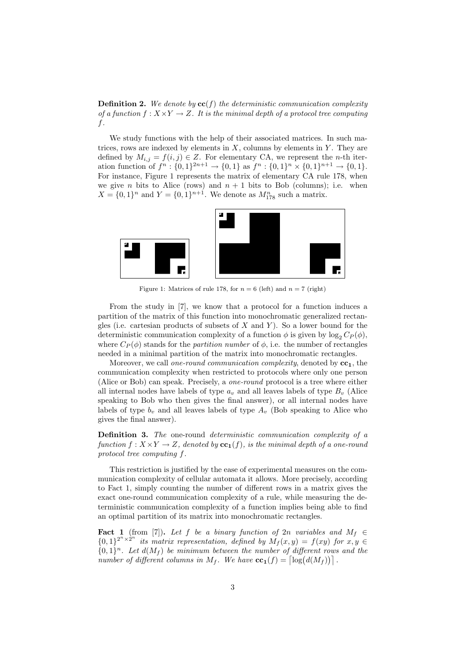**Definition 2.** We denote by  $cc(f)$  the deterministic communication complexity of a function  $f: X \times Y \to Z$ . It is the minimal depth of a protocol tree computing f.

We study functions with the help of their associated matrices. In such matrices, rows are indexed by elements in  $X$ , columns by elements in  $Y$ . They are defined by  $M_{i,j} = f(i,j) \in Z$ . For elementary CA, we represent the *n*-th iteration function of  $f^n: \{0,1\}^{2n+1} \to \{0,1\}$  as  $f^n: \{0,1\}^n \times \{0,1\}^{n+1} \to \{0,1\}.$ For instance, Figure 1 represents the matrix of elementary CA rule 178, when we give *n* bits to Alice (rows) and  $n + 1$  bits to Bob (columns); i.e. when  $X = \{0, 1\}^n$  and  $Y = \{0, 1\}^{n+1}$ . We denote as  $M_{178}^n$  such a matrix.



Figure 1: Matrices of rule 178, for  $n = 6$  (left) and  $n = 7$  (right)

From the study in [7], we know that a protocol for a function induces a partition of the matrix of this function into monochromatic generalized rectangles (i.e. cartesian products of subsets of X and Y). So a lower bound for the deterministic communication complexity of a function  $\phi$  is given by log<sub>2</sub>  $C_P(\phi)$ , where  $C_P(\phi)$  stands for the *partition number* of  $\phi$ , i.e. the number of rectangles needed in a minimal partition of the matrix into monochromatic rectangles.

Moreover, we call one-round communication complexity, denoted by  $cc_1$ , the communication complexity when restricted to protocols where only one person (Alice or Bob) can speak. Precisely, a one-round protocol is a tree where either all internal nodes have labels of type  $a_v$  and all leaves labels of type  $B_v$  (Alice speaking to Bob who then gives the final answer), or all internal nodes have labels of type  $b_v$  and all leaves labels of type  $A_v$  (Bob speaking to Alice who gives the final answer).

Definition 3. The one-round deterministic communication complexity of a function  $f: X \times Y \to Z$ , denoted by  $\mathbf{cc}_1(f)$ , is the minimal depth of a one-round protocol tree computing f.

This restriction is justified by the ease of experimental measures on the communication complexity of cellular automata it allows. More precisely, according to Fact 1, simply counting the number of different rows in a matrix gives the exact one-round communication complexity of a rule, while measuring the deterministic communication complexity of a function implies being able to find an optimal partition of its matrix into monochromatic rectangles.

**Fact 1** (from [7]). Let f be a binary function of 2n variables and  $M_f \in$  ${0,1}^{2^n\times 2^n}$  its matrix representation, defined by  $M_f(x,y) = f(xy)$  for  $x,y \in$  ${0,1}<sup>n</sup>$ . Let  $d(M_f)$  be minimum between the number of different rows and the number of different columns in  $M_f$ . We have  $cc_1(f) = \lceil \log(d(M_f)) \rceil$ .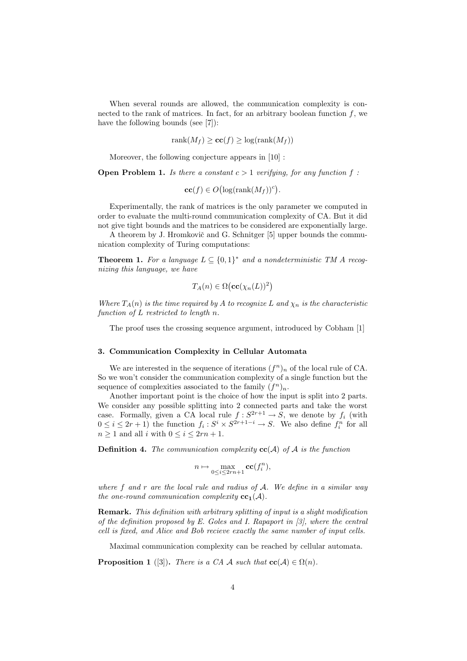When several rounds are allowed, the communication complexity is connected to the rank of matrices. In fact, for an arbitrary boolean function  $f$ , we have the following bounds (see [7]):

$$
rank(M_f) \geq \mathbf{cc}(f) \geq \log(\operatorname{rank}(M_f))
$$

Moreover, the following conjecture appears in [10] :

**Open Problem 1.** Is there a constant  $c > 1$  verifying, for any function f:

 $\mathbf{cc}(f) \in O\big(\log(\mathrm{rank}(M_f))^c\big).$ 

Experimentally, the rank of matrices is the only parameter we computed in order to evaluate the multi-round communication complexity of CA. But it did not give tight bounds and the matrices to be considered are exponentially large.

A theorem by J. Hromkovič and G. Schnitger [5] upper bounds the communication complexity of Turing computations:

**Theorem 1.** For a language  $L \subseteq \{0,1\}^*$  and a nondeterministic TM A recognizing this language, we have

$$
T_A(n) \in \Omega\big(\mathbf{cc}(\chi_n(L))^2\big)
$$

Where  $T_A(n)$  is the time required by A to recognize L and  $\chi_n$  is the characteristic function of L restricted to length n.

The proof uses the crossing sequence argument, introduced by Cobham [1]

# 3. Communication Complexity in Cellular Automata

We are interested in the sequence of iterations  $(f^n)_n$  of the local rule of CA. So we won't consider the communication complexity of a single function but the sequence of complexities associated to the family  $(f^n)_n$ .

Another important point is the choice of how the input is split into 2 parts. We consider any possible splitting into 2 connected parts and take the worst case. Formally, given a CA local rule  $f: S^{2r+1} \to S$ , we denote by  $f_i$  (with  $0 \leq i \leq 2r+1$ ) the function  $f_i : S^i \times S^{2r+1-i} \to S$ . We also define  $f_i^n$  for all  $n \geq 1$  and all i with  $0 \leq i \leq 2rn + 1$ .

**Definition 4.** The communication complexity  $cc(A)$  of A is the function

$$
n \mapsto \max_{0 \le i \le 2rn+1} \mathbf{cc}(f_i^n),
$$

where f and r are the local rule and radius of  $A$ . We define in a similar way the one-round communication complexity  $cc_1(A)$ .

Remark. This definition with arbitrary splitting of input is a slight modification of the definition proposed by E. Goles and I. Rapaport in [3], where the central cell is fixed, and Alice and Bob recieve exactly the same number of input cells.

Maximal communication complexity can be reached by cellular automata.

**Proposition 1** ([3]). There is a CA A such that  $\mathbf{cc}(A) \in \Omega(n)$ .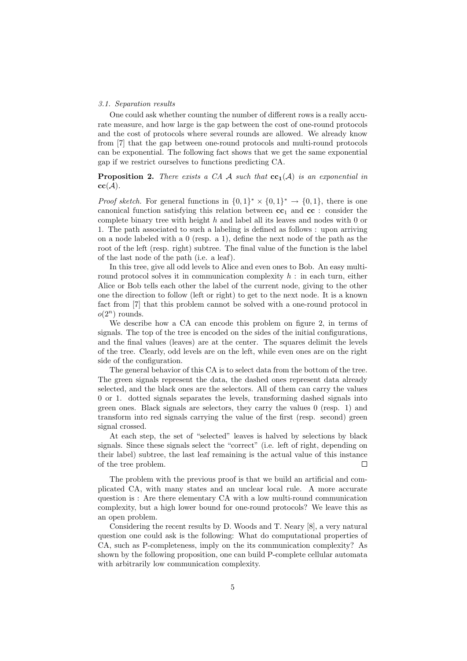#### 3.1. Separation results

One could ask whether counting the number of different rows is a really accurate measure, and how large is the gap between the cost of one-round protocols and the cost of protocols where several rounds are allowed. We already know from [7] that the gap between one-round protocols and multi-round protocols can be exponential. The following fact shows that we get the same exponential gap if we restrict ourselves to functions predicting CA.

# **Proposition 2.** There exists a CA A such that  $cc_1(A)$  is an exponential in  $cc(\mathcal{A}).$

*Proof sketch.* For general functions in  $\{0,1\}^* \times \{0,1\}^* \rightarrow \{0,1\}$ , there is one canonical function satisfying this relation between  $cc_1$  and  $cc$ : consider the complete binary tree with height  $h$  and label all its leaves and nodes with  $0$  or 1. The path associated to such a labeling is defined as follows : upon arriving on a node labeled with a 0 (resp. a 1), define the next node of the path as the root of the left (resp. right) subtree. The final value of the function is the label of the last node of the path (i.e. a leaf).

In this tree, give all odd levels to Alice and even ones to Bob. An easy multiround protocol solves it in communication complexity  $h$ : in each turn, either Alice or Bob tells each other the label of the current node, giving to the other one the direction to follow (left or right) to get to the next node. It is a known fact from [7] that this problem cannot be solved with a one-round protocol in  $o(2^n)$  rounds.

We describe how a CA can encode this problem on figure 2, in terms of signals. The top of the tree is encoded on the sides of the initial configurations, and the final values (leaves) are at the center. The squares delimit the levels of the tree. Clearly, odd levels are on the left, while even ones are on the right side of the configuration.

The general behavior of this CA is to select data from the bottom of the tree. The green signals represent the data, the dashed ones represent data already selected, and the black ones are the selectors. All of them can carry the values 0 or 1. dotted signals separates the levels, transforming dashed signals into green ones. Black signals are selectors, they carry the values 0 (resp. 1) and transform into red signals carrying the value of the first (resp. second) green signal crossed.

At each step, the set of "selected" leaves is halved by selections by black signals. Since these signals select the "correct" (i.e. left of right, depending on their label) subtree, the last leaf remaining is the actual value of this instance of the tree problem.  $\Box$ 

The problem with the previous proof is that we build an artificial and complicated CA, with many states and an unclear local rule. A more accurate question is : Are there elementary CA with a low multi-round communication complexity, but a high lower bound for one-round protocols? We leave this as an open problem.

Considering the recent results by D. Woods and T. Neary [8], a very natural question one could ask is the following: What do computational properties of CA, such as P-completeness, imply on the its communication complexity? As shown by the following proposition, one can build P-complete cellular automata with arbitrarily low communication complexity.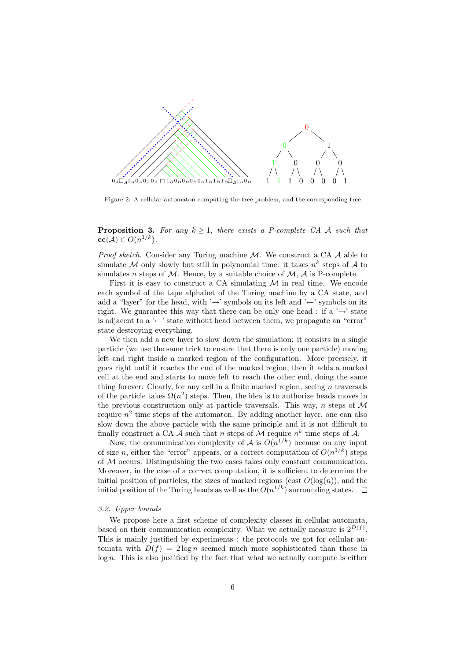

Figure 2: A cellular automaton computing the tree problem, and the corresponding tree

**Proposition 3.** For any  $k > 1$ , there exists a P-complete CA A such that  $\mathbf{cc}(\mathcal{A}) \in O(n^{1/k}).$ 

*Proof sketch.* Consider any Turing machine  $M$ . We construct a CA  $\mathcal A$  able to simulate M only slowly but still in polynomial time: it takes  $n^k$  steps of A to simulates n steps of  $M$ . Hence, by a suitable choice of  $M$ ,  $A$  is P-complete.

First it is easy to construct a CA simulating  $M$  in real time. We encode each symbol of the tape alphabet of the Turing machine by a CA state, and add a "layer" for the head, with ' $\rightarrow$ ' symbols on its left and ' $\leftarrow$ ' symbols on its right. We guarantee this way that there can be only one head : if a ' $\rightarrow$ ' state is adjacent to a ' $\leftarrow$ ' state without head between them, we propagate an "error" state destroying everything.

We then add a new layer to slow down the simulation: it consists in a single particle (we use the same trick to ensure that there is only one particle) moving left and right inside a marked region of the configuration. More precisely, it goes right until it reaches the end of the marked region, then it adds a marked cell at the end and starts to move left to reach the other end, doing the same thing forever. Clearly, for any cell in a finite marked region, seeing  $n$  traversals of the particle takes  $\Omega(n^2)$  steps. Then, the idea is to authorize heads moves in the previous construction only at particle traversals. This way,  $n$  steps of  $\mathcal M$ require  $n^2$  time steps of the automaton. By adding another layer, one can also slow down the above particle with the same principle and it is not difficult to finally construct a CA A such that n steps of M require  $n^k$  time steps of A.

Now, the communication complexity of A is  $O(n^{1/k})$  because on any input of size n, either the "error" appears, or a correct computation of  $O(n^{1/k})$  steps of  $M$  occurs. Distinguishing the two cases takes only constant communication. Moreover, in the case of a correct computation, it is sufficient to determine the initial position of particles, the sizes of marked regions (cost  $O(\log(n))$ , and the initial position of the Turing heads as well as the  $O(n^{1/k})$  surrounding states.

#### 3.2. Upper bounds

We propose here a first scheme of complexity classes in cellular automata, based on their communication complexity. What we actually measure is  $2^{D(f)}$ . This is mainly justified by experiments : the protocols we got for cellular automata with  $D(f) = 2 \log n$  seemed much more sophisticated than those in  $log n$ . This is also justified by the fact that what we actually compute is either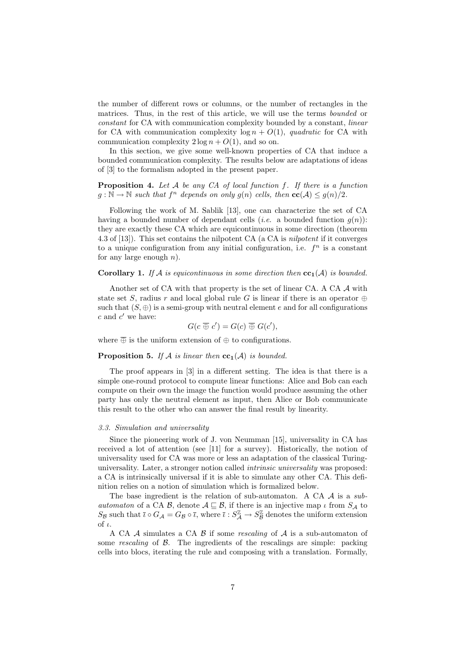the number of different rows or columns, or the number of rectangles in the matrices. Thus, in the rest of this article, we will use the terms bounded or constant for CA with communication complexity bounded by a constant, linear for CA with communication complexity  $log n + O(1)$ , quadratic for CA with communication complexity  $2 \log n + O(1)$ , and so on.

In this section, we give some well-known properties of CA that induce a bounded communication complexity. The results below are adaptations of ideas of [3] to the formalism adopted in the present paper.

**Proposition 4.** Let  $A$  be any  $CA$  of local function f. If there is a function  $g: \mathbb{N} \to \mathbb{N}$  such that  $f^n$  depends on only  $g(n)$  cells, then  $\mathbf{cc}(\mathcal{A}) \leq g(n)/2$ .

Following the work of M. Sablik [13], one can characterize the set of CA having a bounded number of dependant cells (*i.e.* a bounded function  $q(n)$ ): they are exactly these CA which are equicontinuous in some direction (theorem 4.3 of [13]). This set contains the nilpotent CA (a CA is nilpotent if it converges to a unique configuration from any initial configuration, i.e.  $f<sup>n</sup>$  is a constant for any large enough  $n$ ).

# **Corollary 1.** If A is equicontinuous in some direction then  $cc_1(A)$  is bounded.

Another set of CA with that property is the set of linear CA. A CA  $\mathcal A$  with state set S, radius r and local global rule G is linear if there is an operator  $\oplus$ such that  $(S, \oplus)$  is a semi-group with neutral element e and for all configurations  $c$  and  $c'$  we have:

$$
G(c \overline{\oplus} c') = G(c) \overline{\oplus} G(c'),
$$

where  $\overline{\oplus}$  is the uniform extension of  $\oplus$  to configurations.

# **Proposition 5.** If A is linear then  $cc_1(A)$  is bounded.

The proof appears in [3] in a different setting. The idea is that there is a simple one-round protocol to compute linear functions: Alice and Bob can each compute on their own the image the function would produce assuming the other party has only the neutral element as input, then Alice or Bob communicate this result to the other who can answer the final result by linearity.

#### 3.3. Simulation and universality

Since the pioneering work of J. von Neumman [15], universality in CA has received a lot of attention (see [11] for a survey). Historically, the notion of universality used for CA was more or less an adaptation of the classical Turinguniversality. Later, a stronger notion called *intrinsic universality* was proposed: a CA is intrinsically universal if it is able to simulate any other CA. This definition relies on a notion of simulation which is formalized below.

The base ingredient is the relation of sub-automaton. A CA  $\mathcal A$  is a subautomaton of a CA B, denote  $A \subseteq B$ , if there is an injective map  $\iota$  from  $S_A$  to  $S_B$  such that  $\bar{\iota} \circ G_A = G_B \circ \bar{\iota}$ , where  $\bar{\iota} : S_A^{\mathbb{Z}} \to S_B^{\mathbb{Z}}$  denotes the uniform extension of  $\iota$ .

A CA  $\mathcal A$  simulates a CA  $\mathcal B$  if some *rescaling* of  $\mathcal A$  is a sub-automaton of some rescaling of  $\beta$ . The ingredients of the rescalings are simple: packing cells into blocs, iterating the rule and composing with a translation. Formally,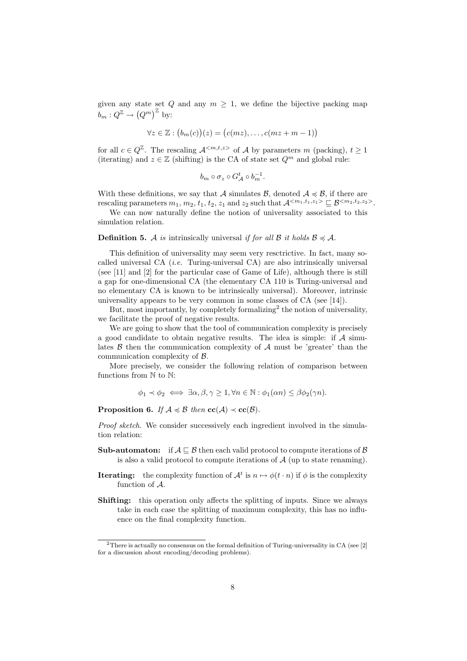given any state set Q and any  $m \geq 1$ , we define the bijective packing map  $b_m: Q^{\mathbb{Z}} \to (Q^m)^{\mathbb{Z}}$  by:

$$
\forall z \in \mathbb{Z} : (b_m(c))(z) = (c(mz), \dots, c(mz + m - 1))
$$

for all  $c \in Q^{\mathbb{Z}}$ . The rescaling  $\mathcal{A}^{}$  of  $\mathcal A$  by parameters m (packing),  $t \geq 1$ (iterating) and  $z \in \mathbb{Z}$  (shifting) is the CA of state set  $Q^m$  and global rule:

$$
b_m\circ \sigma_z\circ G_{\mathcal{A}}^t\circ b_m^{-1}.
$$

With these definitions, we say that A simulates B, denoted  $A \preccurlyeq B$ , if there are rescaling parameters  $m_1, m_2, t_1, t_2, z_1$  and  $z_2$  such that  $\mathcal{A}^{}\subseteq \mathcal{B}^{}.$ 

We can now naturally define the notion of universality associated to this simulation relation.

#### **Definition 5.** A is intrinsically universal if for all  $\beta$  it holds  $\beta \preccurlyeq A$ .

This definition of universality may seem very resctrictive. In fact, many socalled universal CA (i.e. Turing-universal CA) are also intrinsically universal (see [11] and [2] for the particular case of Game of Life), although there is still a gap for one-dimensional CA (the elementary CA 110 is Turing-universal and no elementary CA is known to be intrinsically universal). Moreover, intrinsic universality appears to be very common in some classes of CA (see [14]).

But, most importantly, by completely formalizing<sup>2</sup> the notion of universality, we facilitate the proof of negative results.

We are going to show that the tool of communication complexity is precisely a good candidate to obtain negative results. The idea is simple: if  $A$  simulates  $\beta$  then the communication complexity of  $\mathcal A$  must be 'greater' than the communication complexity of B.

More precisely, we consider the following relation of comparison between functions from  $\mathbb N$  to  $\mathbb N$ :

 $\phi_1 \prec \phi_2 \iff \exists \alpha, \beta, \gamma > 1, \forall n \in \mathbb{N} : \phi_1(\alpha n) \leq \beta \phi_2(\gamma n).$ 

**Proposition 6.** If  $A \preccurlyeq B$  then  $\mathbf{cc}(A) \preccurlyeq \mathbf{cc}(B)$ .

Proof sketch. We consider successively each ingredient involved in the simulation relation:

- **Sub-automaton:** if  $A \sqsubseteq B$  then each valid protocol to compute iterations of B is also a valid protocol to compute iterations of  $A$  (up to state renaming).
- **Iterating:** the complexity function of  $\mathcal{A}^t$  is  $n \mapsto \phi(t \cdot n)$  if  $\phi$  is the complexity function of A.
- Shifting: this operation only affects the splitting of inputs. Since we always take in each case the splitting of maximum complexity, this has no influence on the final complexity function.

<sup>&</sup>lt;sup>2</sup>There is actually no consensus on the formal definition of Turing-universality in CA (see [2] for a discussion about encoding/decoding problems).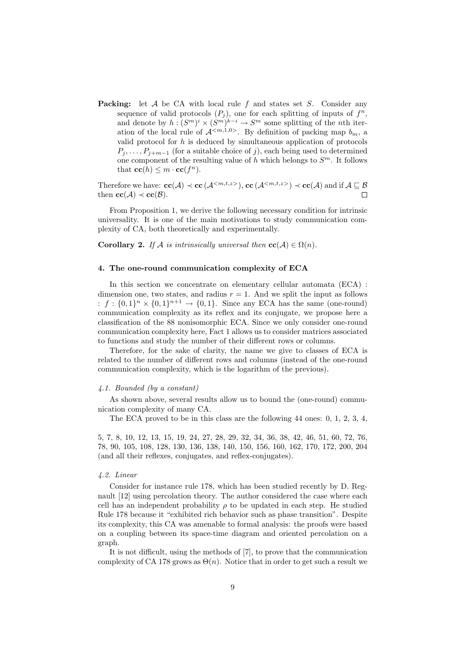**Packing:** let  $A$  be CA with local rule  $f$  and states set  $S$ . Consider any sequence of valid protocols  $(P_j)$ , one for each splitting of inputs of  $f^n$ , and denote by  $h:(S^m)^i \times (S^m)^{k-i} \to S^m$  some splitting of the *n*th iteration of the local rule of  $\mathcal{A}^{}$ . By definition of packing map  $b_m$ , a valid protocol for  $h$  is deduced by simultaneous application of protocols  $P_i, \ldots, P_{i+m-1}$  (for a suitable choice of j), each being used to determined one component of the resulting value of  $h$  which belongs to  $S<sup>m</sup>$ . It follows that  $\mathbf{cc}(h) \leq m \cdot \mathbf{cc}(f^n)$ .

Therefore we have:  $\mathbf{cc}(\mathcal{A}) \prec \mathbf{cc}(\mathcal{A}^{})$ ,  $\mathbf{cc}(\mathcal{A}^{}) \prec \mathbf{cc}(\mathcal{A})$  and if  $\mathcal{A} \sqsubseteq \mathcal{B}$ then  $\mathbf{cc}(\mathcal{A}) \prec \mathbf{cc}(\mathcal{B})$ .  $\Box$ 

From Proposition 1, we derive the following necessary condition for intrinsic universality. It is one of the main motivations to study communication complexity of CA, both theoretically and experimentally.

**Corollary 2.** If A is intrinsically universal then  $\mathbf{cc}(\mathcal{A}) \in \Omega(n)$ .

#### 4. The one-round communication complexity of ECA

In this section we concentrate on elementary cellular automata (ECA) : dimension one, two states, and radius  $r = 1$ . And we split the input as follows :  $f: \{0,1\}^n \times \{0,1\}^{n+1} \rightarrow \{0,1\}$ . Since any ECA has the same (one-round) communication complexity as its reflex and its conjugate, we propose here a classification of the 88 nonisomorphic ECA. Since we only consider one-round communication complexity here, Fact 1 allows us to consider matrices associated to functions and study the number of their different rows or columns.

Therefore, for the sake of clarity, the name we give to classes of ECA is related to the number of different rows and columns (instead of the one-round communication complexity, which is the logarithm of the previous).

#### 4.1. Bounded (by a constant)

As shown above, several results allow us to bound the (one-round) communication complexity of many CA.

The ECA proved to be in this class are the following 44 ones: 0, 1, 2, 3, 4,

5, 7, 8, 10, 12, 13, 15, 19, 24, 27, 28, 29, 32, 34, 36, 38, 42, 46, 51, 60, 72, 76, 78, 90, 105, 108, 128, 130, 136, 138, 140, 150, 156, 160, 162, 170, 172, 200, 204 (and all their reflexes, conjugates, and reflex-conjugates).

#### 4.2. Linear

Consider for instance rule 178, which has been studied recently by D. Regnault [12] using percolation theory. The author considered the case where each cell has an independent probability  $\rho$  to be updated in each step. He studied Rule 178 because it "exhibited rich behavior such as phase transition". Despite its complexity, this CA was amenable to formal analysis: the proofs were based on a coupling between its space-time diagram and oriented percolation on a graph.

It is not difficult, using the methods of [7], to prove that the communication complexity of CA 178 grows as  $\Theta(n)$ . Notice that in order to get such a result we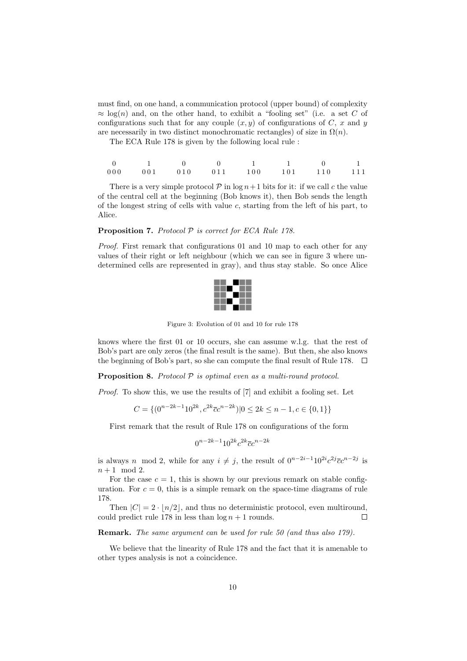must find, on one hand, a communication protocol (upper bound) of complexity  $\approx \log(n)$  and, on the other hand, to exhibit a "fooling set" (i.e. a set C of configurations such that for any couple  $(x, y)$  of configurations of C, x and y are necessarily in two distinct monochromatic rectangles) of size in  $\Omega(n)$ .

The ECA Rule 178 is given by the following local rule :

|  | $\sim$ 0 | 1 1 0 1                                         |  |  |
|--|----------|-------------------------------------------------|--|--|
|  |          | $000$ $001$ $010$ $011$ $100$ $101$ $110$ $111$ |  |  |

There is a very simple protocol  $\mathcal P$  in  $\log n+1$  bits for it: if we call c the value of the central cell at the beginning (Bob knows it), then Bob sends the length of the longest string of cells with value c, starting from the left of his part, to Alice.

# **Proposition 7.** Protocol  $P$  is correct for ECA Rule 178.

Proof. First remark that configurations 01 and 10 map to each other for any values of their right or left neighbour (which we can see in figure 3 where undetermined cells are represented in gray), and thus stay stable. So once Alice



Figure 3: Evolution of 01 and 10 for rule 178

knows where the first 01 or 10 occurs, she can assume w.l.g. that the rest of Bob's part are only zeros (the final result is the same). But then, she also knows the beginning of Bob's part, so she can compute the final result of Rule 178.  $\Box$ 

**Proposition 8.** Protocol  $P$  is optimal even as a multi-round protocol.

Proof. To show this, we use the results of [7] and exhibit a fooling set. Let

$$
C = \{(0^{n-2k-1}10^{2k}, c^{2k}\overline{c}c^{n-2k})|0 \le 2k \le n-1, c \in \{0, 1\}\}\
$$

First remark that the result of Rule 178 on configurations of the form

$$
0^{n-2k-1}10^{2k}c^{2k}\overline{c}c^{n-2k}
$$

is always n mod 2, while for any  $i \neq j$ , the result of  $0^{n-2i-1}10^{2i}c^{2j}\overline{c}c^{n-2j}$  is  $n+1 \mod 2$ .

For the case  $c = 1$ , this is shown by our previous remark on stable configuration. For  $c = 0$ , this is a simple remark on the space-time diagrams of rule 178.

Then  $|C| = 2 \cdot |n/2|$ , and thus no deterministic protocol, even multiround, could predict rule 178 in less than  $\log n + 1$  rounds.  $\Box$ 

Remark. The same argument can be used for rule 50 (and thus also 179).

We believe that the linearity of Rule 178 and the fact that it is amenable to other types analysis is not a coincidence.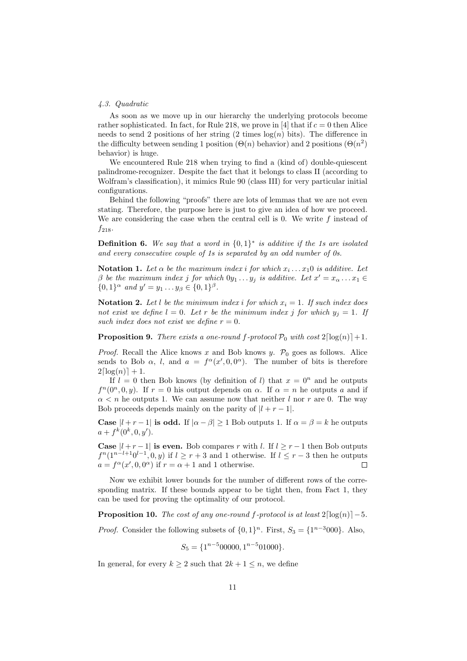#### 4.3. Quadratic

As soon as we move up in our hierarchy the underlying protocols become rather sophisticated. In fact, for Rule 218, we prove in [4] that if  $c = 0$  then Alice needs to send 2 positions of her string  $(2 \text{ times } \log(n) \text{ bits})$ . The difference in the difficulty between sending 1 position  $(\Theta(n)$  behavior) and 2 positions  $(\Theta(n^2))$ behavior) is huge.

We encountered Rule 218 when trying to find a (kind of) double-quiescent palindrome-recognizer. Despite the fact that it belongs to class II (according to Wolfram's classification), it mimics Rule 90 (class III) for very particular initial configurations.

Behind the following "proofs" there are lots of lemmas that we are not even stating. Therefore, the purpose here is just to give an idea of how we proceed. We are considering the case when the central cell is 0. We write  $f$  instead of  $f_{218}.$ 

**Definition 6.** We say that a word in  $\{0,1\}^*$  is additive if the 1s are isolated and every consecutive couple of 1s is separated by an odd number of 0s.

**Notation 1.** Let  $\alpha$  be the maximum index i for which  $x_i \dots x_1 0$  is additive. Let  $\beta$  be the maximum index j for which  $0y_1 \dots y_j$  is additive. Let  $x' = x_\alpha \dots x_1 \in$  $\{0,1\}^\alpha$  and  $y' = y_1 \dots y_\beta \in \{0,1\}^\beta$ .

**Notation 2.** Let l be the minimum index i for which  $x_i = 1$ . If such index does not exist we define  $l = 0$ . Let r be the minimum index j for which  $y_j = 1$ . If such index does not exist we define  $r = 0$ .

**Proposition 9.** There exists a one-round f-protocol  $\mathcal{P}_0$  with cost  $2\lceil \log(n) \rceil + 1$ .

*Proof.* Recall the Alice knows x and Bob knows y.  $P_0$  goes as follows. Alice sends to Bob  $\alpha$ , l, and  $a = f^{\alpha}(x', 0, 0^{\alpha})$ . The number of bits is therefore  $2\lceil log(n) \rceil + 1.$ 

If  $l = 0$  then Bob knows (by definition of l) that  $x = 0^n$  and he outputs  $f^{n}(0^{n},0,y)$ . If  $r=0$  his output depends on  $\alpha$ . If  $\alpha = n$  he outputs a and if  $\alpha < n$  he outputs 1. We can assume now that neither l nor r are 0. The way Bob proceeds depends mainly on the parity of  $|l + r - 1|$ .

**Case**  $|l + r - 1|$  is odd. If  $|\alpha - \beta| \ge 1$  Bob outputs 1. If  $\alpha = \beta = k$  he outputs  $a + f^{k}(0^{k}, 0, y').$ 

**Case**  $|l + r - 1|$  is even. Bob compares r with l. If  $l \geq r - 1$  then Bob outputs  $f^{n}(1^{n-l+1}0^{l-1},0,y)$  if  $l \geq r+3$  and 1 otherwise. If  $l \leq r-3$  then he outputs  $a = f^{\alpha}(x', 0, 0^{\alpha})$  if  $r = \alpha + 1$  and 1 otherwise.  $\Box$ 

Now we exhibit lower bounds for the number of different rows of the corresponding matrix. If these bounds appear to be tight then, from Fact 1, they can be used for proving the optimality of our protocol.

**Proposition 10.** The cost of any one-round f-protocol is at least  $2\lceil \log(n) \rceil - 5$ .

*Proof.* Consider the following subsets of  $\{0, 1\}^n$ . First,  $S_3 = \{1^{n-3}000\}$ . Also,

$$
S_5 = \{1^{n-5}00000, 1^{n-5}01000\}.
$$

In general, for every  $k \geq 2$  such that  $2k + 1 \leq n$ , we define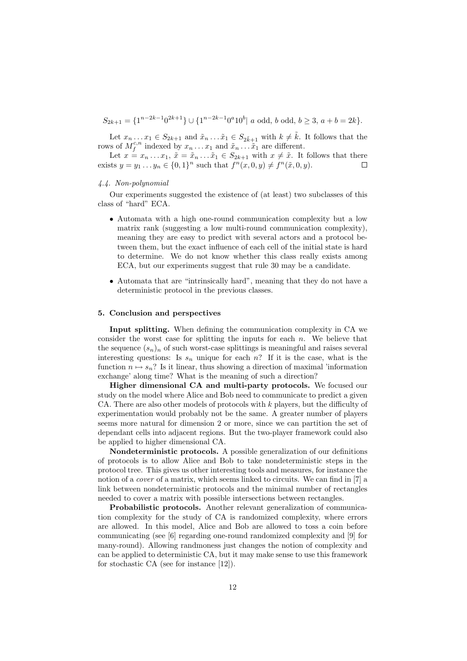$S_{2k+1} = \{1^{n-2k-1}0^{2k+1}\} \cup \{1^{n-2k-1}0^{a}10^{b} | a \text{ odd, } b \text{ odd, } b \geq 3, a+b=2k\}.$ 

Let  $x_n \dots x_1 \in S_{2k+1}$  and  $\tilde{x}_n \dots \tilde{x}_1 \in S_{2\tilde{k}+1}$  with  $k \neq \tilde{k}$ . It follows that the rows of  $M_f^{c,n}$  indexed by  $x_n \ldots x_1$  and  $\tilde{x}_n \ldots \tilde{x}_1$  are different.

Let  $x = x_n \dots x_1$ ,  $\tilde{x} = \tilde{x}_n \dots \tilde{x}_1 \in S_{2k+1}$  with  $x \neq \tilde{x}$ . It follows that there exists  $y = y_1 ... y_n \in \{0, 1\}^n$  such that  $f^n(x, 0, y) \neq f^n(\tilde{x}, 0, y)$ . П

## 4.4. Non-polynomial

Our experiments suggested the existence of (at least) two subclasses of this class of "hard" ECA.

- Automata with a high one-round communication complexity but a low matrix rank (suggesting a low multi-round communication complexity), meaning they are easy to predict with several actors and a protocol between them, but the exact influence of each cell of the initial state is hard to determine. We do not know whether this class really exists among ECA, but our experiments suggest that rule 30 may be a candidate.
- Automata that are "intrinsically hard", meaning that they do not have a deterministic protocol in the previous classes.

#### 5. Conclusion and perspectives

Input splitting. When defining the communication complexity in CA we consider the worst case for splitting the inputs for each  $n$ . We believe that the sequence  $(s_n)_n$  of such worst-case splittings is meaningful and raises several interesting questions: Is  $s_n$  unique for each n? If it is the case, what is the function  $n \mapsto s_n$ ? Is it linear, thus showing a direction of maximal 'information exchange' along time? What is the meaning of such a direction?

Higher dimensional CA and multi-party protocols. We focused our study on the model where Alice and Bob need to communicate to predict a given CA. There are also other models of protocols with  $k$  players, but the difficulty of experimentation would probably not be the same. A greater number of players seems more natural for dimension 2 or more, since we can partition the set of dependant cells into adjacent regions. But the two-player framework could also be applied to higher dimensional CA.

Nondeterministic protocols. A possible generalization of our definitions of protocols is to allow Alice and Bob to take nondeterministic steps in the protocol tree. This gives us other interesting tools and measures, for instance the notion of a *cover* of a matrix, which seems linked to circuits. We can find in [7] a link between nondeterministic protocols and the minimal number of rectangles needed to cover a matrix with possible intersections between rectangles.

Probabilistic protocols. Another relevant generalization of communication complexity for the study of CA is randomized complexity, where errors are allowed. In this model, Alice and Bob are allowed to toss a coin before communicating (see [6] regarding one-round randomized complexity and [9] for many-round). Allowing randmoness just changes the notion of complexity and can be applied to deterministic CA, but it may make sense to use this framework for stochastic CA (see for instance [12]).